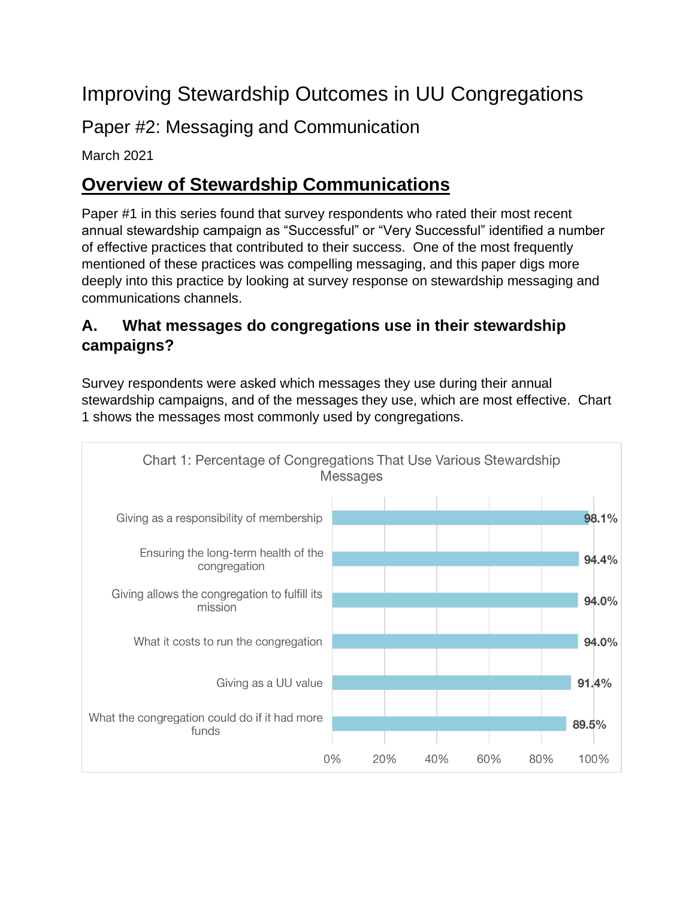# Improving Stewardship Outcomes in UU Congregations

Paper #2: Messaging and Communication

March 2021

# **Overview of Stewardship Communications**

Paper #1 in this series found that survey respondents who rated their most recent annual stewardship campaign as "Successful" or "Very Successful" identified a number of effective practices that contributed to their success. One of the most frequently mentioned of these practices was compelling messaging, and this paper digs more deeply into this practice by looking at survey response on stewardship messaging and communications channels.

## **A. What messages do congregations use in their stewardship campaigns?**

Survey respondents were asked which messages they use during their annual stewardship campaigns, and of the messages they use, which are most effective. Chart 1 shows the messages most commonly used by congregations.

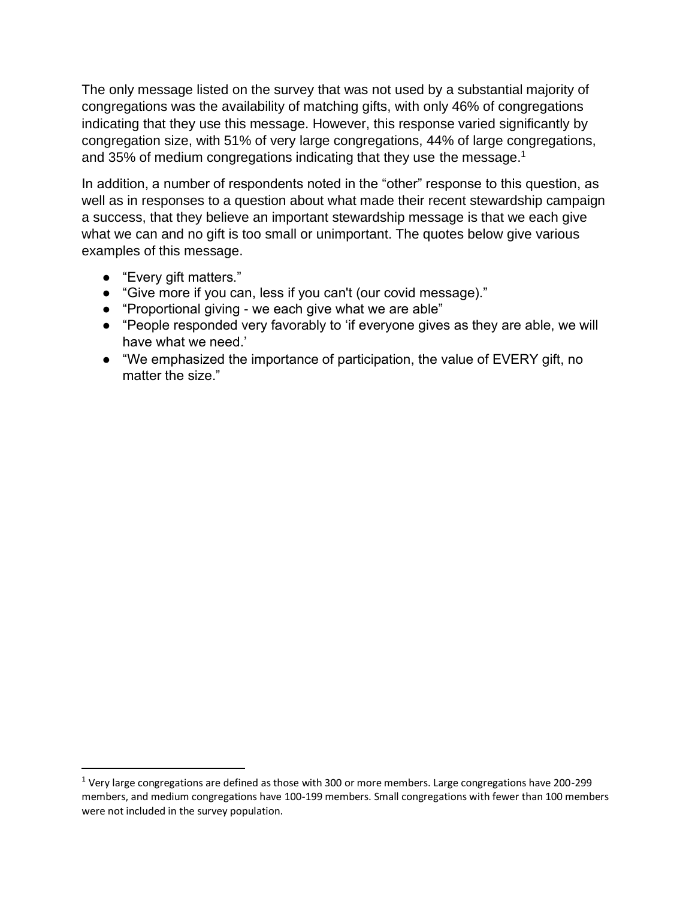The only message listed on the survey that was not used by a substantial majority of congregations was the availability of matching gifts, with only 46% of congregations indicating that they use this message. However, this response varied significantly by congregation size, with 51% of very large congregations, 44% of large congregations, and 35% of medium congregations indicating that they use the message.<sup>1</sup>

In addition, a number of respondents noted in the "other" response to this question, as well as in responses to a question about what made their recent stewardship campaign a success, that they believe an important stewardship message is that we each give what we can and no gift is too small or unimportant. The quotes below give various examples of this message.

- "Every gift matters."
- "Give more if you can, less if you can't (our covid message)."
- "Proportional giving we each give what we are able"
- "People responded very favorably to 'if everyone gives as they are able, we will have what we need.'
- "We emphasized the importance of participation, the value of EVERY gift, no matter the size."

 $1$  Very large congregations are defined as those with 300 or more members. Large congregations have 200-299 members, and medium congregations have 100-199 members. Small congregations with fewer than 100 members were not included in the survey population.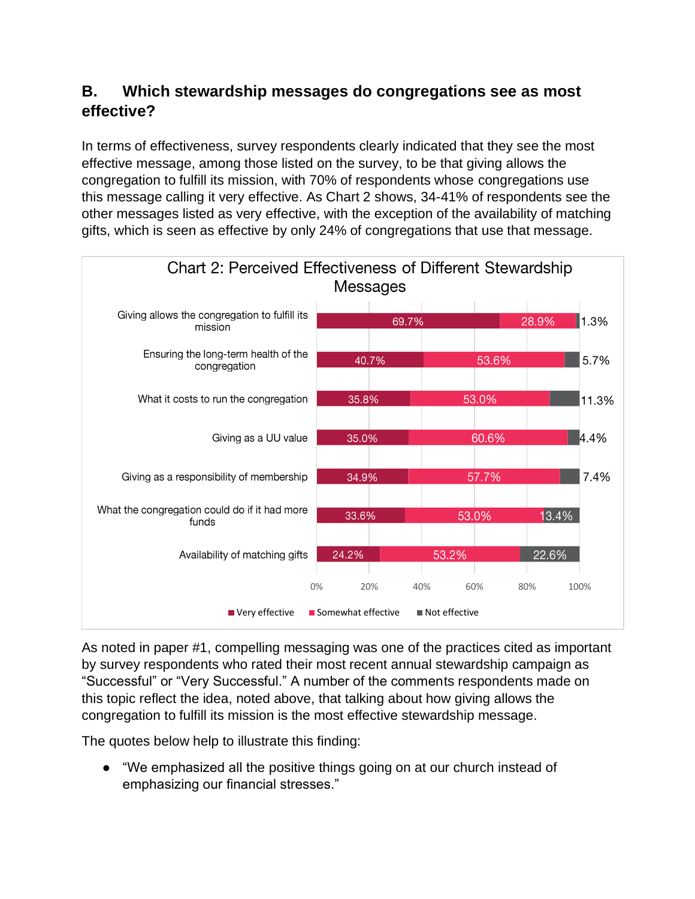### **B. Which stewardship messages do congregations see as most effective?**

In terms of effectiveness, survey respondents clearly indicated that they see the most effective message, among those listed on the survey, to be that giving allows the congregation to fulfill its mission, with 70% of respondents whose congregations use this message calling it very effective. As Chart 2 shows, 34-41% of respondents see the other messages listed as very effective, with the exception of the availability of matching gifts, which is seen as effective by only 24% of congregations that use that message.



As noted in paper #1, compelling messaging was one of the practices cited as important by survey respondents who rated their most recent annual stewardship campaign as "Successful" or "Very Successful." A number of the comments respondents made on this topic reflect the idea, noted above, that talking about how giving allows the congregation to fulfill its mission is the most effective stewardship message.

The quotes below help to illustrate this finding:

● "We emphasized all the positive things going on at our church instead of emphasizing our financial stresses."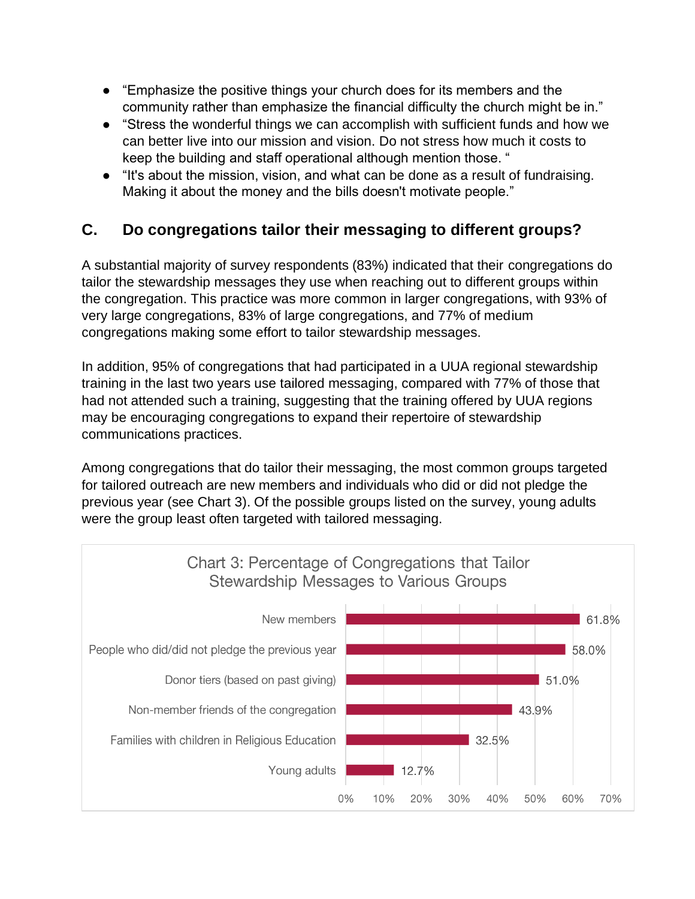- "Emphasize the positive things your church does for its members and the community rather than emphasize the financial difficulty the church might be in."
- "Stress the wonderful things we can accomplish with sufficient funds and how we can better live into our mission and vision. Do not stress how much it costs to keep the building and staff operational although mention those. "
- "It's about the mission, vision, and what can be done as a result of fundraising. Making it about the money and the bills doesn't motivate people."

## **C. Do congregations tailor their messaging to different groups?**

A substantial majority of survey respondents (83%) indicated that their congregations do tailor the stewardship messages they use when reaching out to different groups within the congregation. This practice was more common in larger congregations, with 93% of very large congregations, 83% of large congregations, and 77% of medium congregations making some effort to tailor stewardship messages.

In addition, 95% of congregations that had participated in a UUA regional stewardship training in the last two years use tailored messaging, compared with 77% of those that had not attended such a training, suggesting that the training offered by UUA regions may be encouraging congregations to expand their repertoire of stewardship communications practices.

Among congregations that do tailor their messaging, the most common groups targeted for tailored outreach are new members and individuals who did or did not pledge the previous year (see Chart 3). Of the possible groups listed on the survey, young adults were the group least often targeted with tailored messaging.

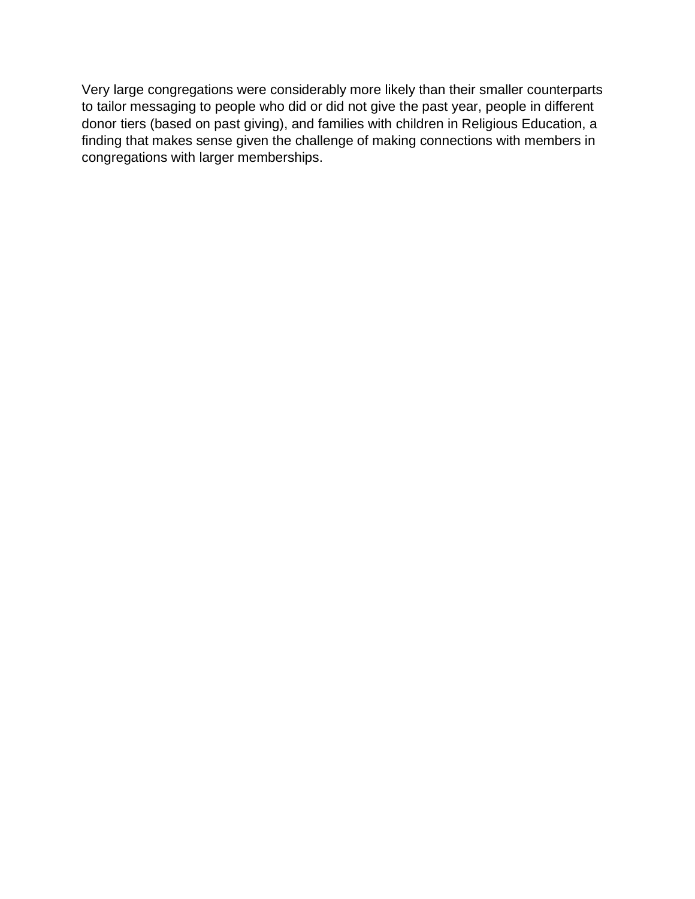Very large congregations were considerably more likely than their smaller counterparts to tailor messaging to people who did or did not give the past year, people in different donor tiers (based on past giving), and families with children in Religious Education, a finding that makes sense given the challenge of making connections with members in congregations with larger memberships.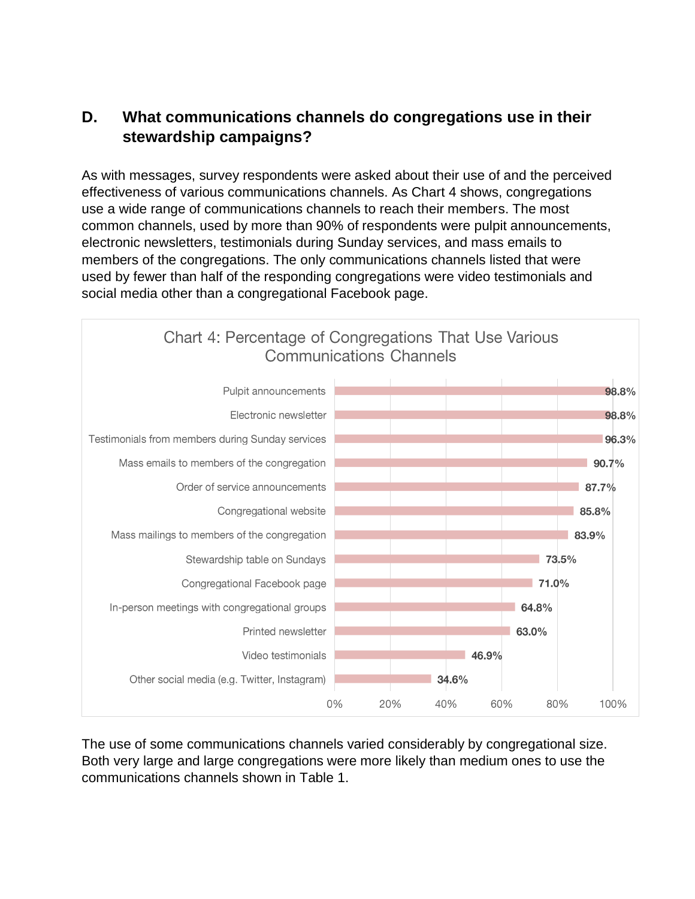#### **D. What communications channels do congregations use in their stewardship campaigns?**

As with messages, survey respondents were asked about their use of and the perceived effectiveness of various communications channels. As Chart 4 shows, congregations use a wide range of communications channels to reach their members. The most common channels, used by more than 90% of respondents were pulpit announcements, electronic newsletters, testimonials during Sunday services, and mass emails to members of the congregations. The only communications channels listed that were used by fewer than half of the responding congregations were video testimonials and social media other than a congregational Facebook page.



The use of some communications channels varied considerably by congregational size. Both very large and large congregations were more likely than medium ones to use the communications channels shown in Table 1.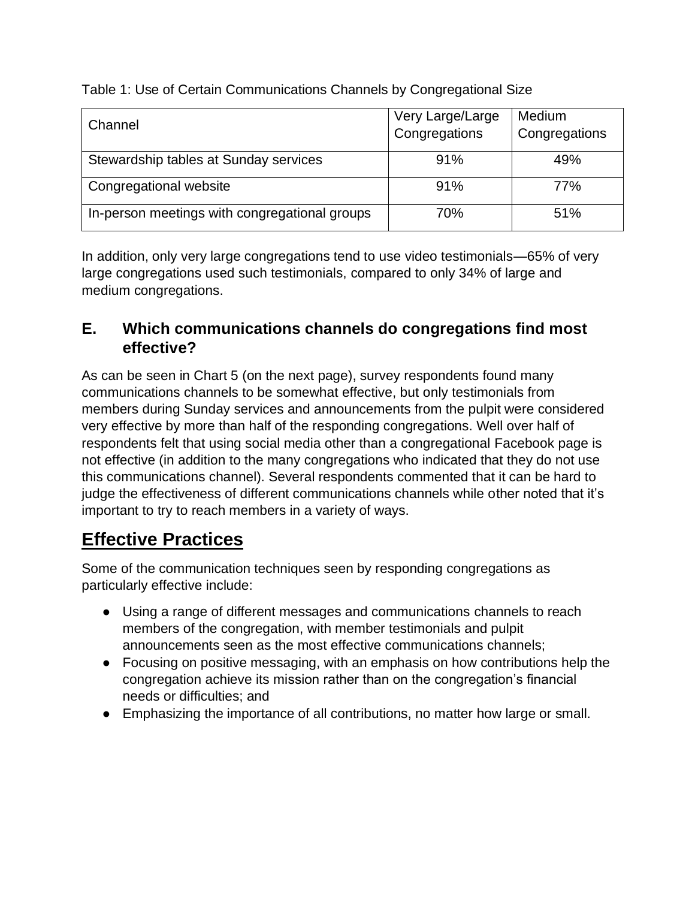Table 1: Use of Certain Communications Channels by Congregational Size

| Channel                                       | Very Large/Large<br>Congregations | <b>Medium</b><br>Congregations |
|-----------------------------------------------|-----------------------------------|--------------------------------|
| Stewardship tables at Sunday services         | 91%                               | 49%                            |
| Congregational website                        | 91%                               | 77%                            |
| In-person meetings with congregational groups | 70%                               | 51%                            |

In addition, only very large congregations tend to use video testimonials—65% of very large congregations used such testimonials, compared to only 34% of large and medium congregations.

#### **E. Which communications channels do congregations find most effective?**

As can be seen in Chart 5 (on the next page), survey respondents found many communications channels to be somewhat effective, but only testimonials from members during Sunday services and announcements from the pulpit were considered very effective by more than half of the responding congregations. Well over half of respondents felt that using social media other than a congregational Facebook page is not effective (in addition to the many congregations who indicated that they do not use this communications channel). Several respondents commented that it can be hard to judge the effectiveness of different communications channels while other noted that it's important to try to reach members in a variety of ways.

## **Effective Practices**

Some of the communication techniques seen by responding congregations as particularly effective include:

- Using a range of different messages and communications channels to reach members of the congregation, with member testimonials and pulpit announcements seen as the most effective communications channels;
- Focusing on positive messaging, with an emphasis on how contributions help the congregation achieve its mission rather than on the congregation's financial needs or difficulties; and
- Emphasizing the importance of all contributions, no matter how large or small.